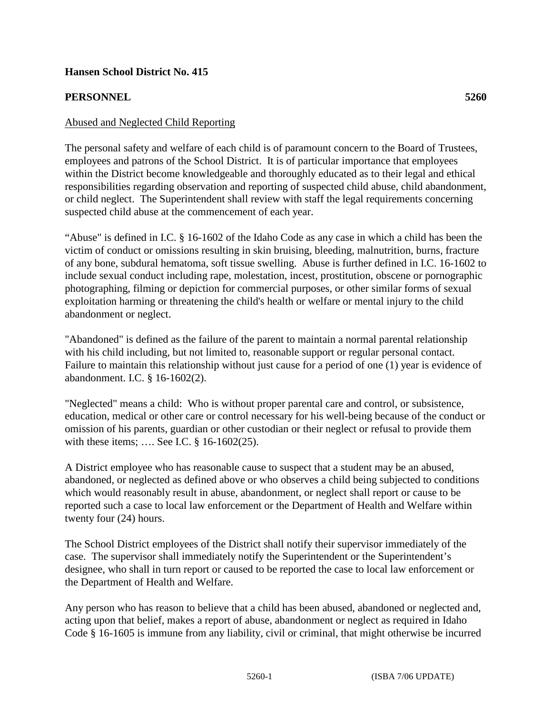## **Hansen School District No. 415**

## **PERSONNEL 5260**

## Abused and Neglected Child Reporting

The personal safety and welfare of each child is of paramount concern to the Board of Trustees, employees and patrons of the School District. It is of particular importance that employees within the District become knowledgeable and thoroughly educated as to their legal and ethical responsibilities regarding observation and reporting of suspected child abuse, child abandonment, or child neglect. The Superintendent shall review with staff the legal requirements concerning suspected child abuse at the commencement of each year.

"Abuse" is defined in I.C. § 16-1602 of the Idaho Code as any case in which a child has been the victim of conduct or omissions resulting in skin bruising, bleeding, malnutrition, burns, fracture of any bone, subdural hematoma, soft tissue swelling. Abuse is further defined in I.C. 16-1602 to include sexual conduct including rape, molestation, incest, prostitution, obscene or pornographic photographing, filming or depiction for commercial purposes, or other similar forms of sexual exploitation harming or threatening the child's health or welfare or mental injury to the child abandonment or neglect.

"Abandoned" is defined as the failure of the parent to maintain a normal parental relationship with his child including, but not limited to, reasonable support or regular personal contact. Failure to maintain this relationship without just cause for a period of one (1) year is evidence of abandonment. I.C. § 16-1602(2).

"Neglected" means a child: Who is without proper parental care and control, or subsistence, education, medical or other care or control necessary for his well-being because of the conduct or omission of his parents, guardian or other custodian or their neglect or refusal to provide them with these items; …. See I.C. § 16-1602(25).

A District employee who has reasonable cause to suspect that a student may be an abused, abandoned, or neglected as defined above or who observes a child being subjected to conditions which would reasonably result in abuse, abandonment, or neglect shall report or cause to be reported such a case to local law enforcement or the Department of Health and Welfare within twenty four (24) hours.

The School District employees of the District shall notify their supervisor immediately of the case. The supervisor shall immediately notify the Superintendent or the Superintendent's designee, who shall in turn report or caused to be reported the case to local law enforcement or the Department of Health and Welfare.

Any person who has reason to believe that a child has been abused, abandoned or neglected and, acting upon that belief, makes a report of abuse, abandonment or neglect as required in Idaho Code § 16-1605 is immune from any liability, civil or criminal, that might otherwise be incurred